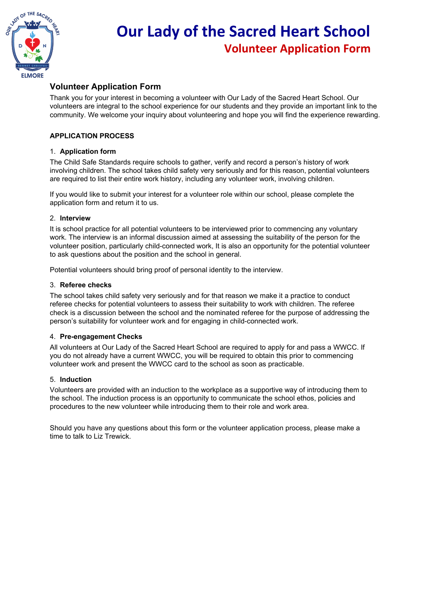

## **Our Lady of the Sacred Heart School Volunteer Application Form**

#### **Volunteer Application Form**

Thank you for your interest in becoming a volunteer with Our Lady of the Sacred Heart School. Our volunteers are integral to the school experience for our students and they provide an important link to the community. We welcome your inquiry about volunteering and hope you will find the experience rewarding.

#### **APPLICATION PROCESS**

#### 1. **Application form**

The Child Safe Standards require schools to gather, verify and record a person's history of work involving children. The school takes child safety very seriously and for this reason, potential volunteers are required to list their entire work history, including any volunteer work, involving children.

If you would like to submit your interest for a volunteer role within our school, please complete the application form and return it to us.

#### 2. **Interview**

It is school practice for all potential volunteers to be interviewed prior to commencing any voluntary work. The interview is an informal discussion aimed at assessing the suitability of the person for the volunteer position, particularly child-connected work, It is also an opportunity for the potential volunteer to ask questions about the position and the school in general.

Potential volunteers should bring proof of personal identity to the interview.

#### 3. **Referee checks**

The school takes child safety very seriously and for that reason we make it a practice to conduct referee checks for potential volunteers to assess their suitability to work with children. The referee check is a discussion between the school and the nominated referee for the purpose of addressing the person's suitability for volunteer work and for engaging in child-connected work.

#### 4. **Pre-engagement Checks**

All volunteers at Our Lady of the Sacred Heart School are required to apply for and pass a WWCC. If you do not already have a current WWCC, you will be required to obtain this prior to commencing volunteer work and present the WWCC card to the school as soon as practicable.

#### 5. **Induction**

Volunteers are provided with an induction to the workplace as a supportive way of introducing them to the school. The induction process is an opportunity to communicate the school ethos, policies and procedures to the new volunteer while introducing them to their role and work area.

Should you have any questions about this form or the volunteer application process, please make a time to talk to Liz Trewick.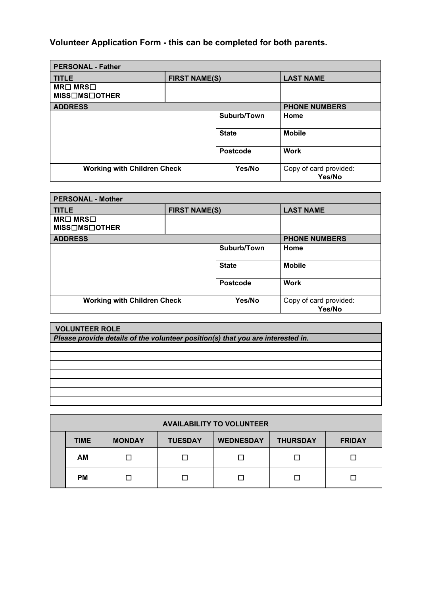### **Volunteer Application Form - this can be completed for both parents.**

| <b>PERSONAL - Father</b>            |                      |                 |                                  |
|-------------------------------------|----------------------|-----------------|----------------------------------|
| <b>TITLE</b>                        | <b>FIRST NAME(S)</b> |                 | <b>LAST NAME</b>                 |
| $MR \Box MRS \Box$<br>MISS□MS□OTHER |                      |                 |                                  |
| <b>ADDRESS</b>                      |                      |                 | <b>PHONE NUMBERS</b>             |
|                                     |                      | Suburb/Town     | Home                             |
|                                     |                      | <b>State</b>    | <b>Mobile</b>                    |
|                                     |                      | <b>Postcode</b> | <b>Work</b>                      |
| <b>Working with Children Check</b>  |                      | Yes/No          | Copy of card provided:<br>Yes/No |

| <b>PERSONAL - Mother</b>            |                      |                 |                                  |  |
|-------------------------------------|----------------------|-----------------|----------------------------------|--|
| <b>TITLE</b>                        | <b>FIRST NAME(S)</b> |                 | <b>LAST NAME</b>                 |  |
| $MR \Box MRS \Box$<br>MISS□MS□OTHER |                      |                 |                                  |  |
| <b>ADDRESS</b>                      |                      |                 | <b>PHONE NUMBERS</b>             |  |
|                                     |                      | Suburb/Town     | Home                             |  |
|                                     |                      | <b>State</b>    | <b>Mobile</b>                    |  |
|                                     |                      | <b>Postcode</b> | <b>Work</b>                      |  |
| <b>Working with Children Check</b>  |                      | Yes/No          | Copy of card provided:<br>Yes/No |  |

# **VOLUNTEER ROLE** *Please provide details of the volunteer position(s) that you are interested in.*

| <b>AVAILABILITY TO VOLUNTEER</b> |             |               |                |                  |                 |               |
|----------------------------------|-------------|---------------|----------------|------------------|-----------------|---------------|
|                                  | <b>TIME</b> | <b>MONDAY</b> | <b>TUESDAY</b> | <b>WEDNESDAY</b> | <b>THURSDAY</b> | <b>FRIDAY</b> |
|                                  | AM          |               | П              | □                |                 |               |
|                                  | <b>PM</b>   |               |                |                  |                 |               |